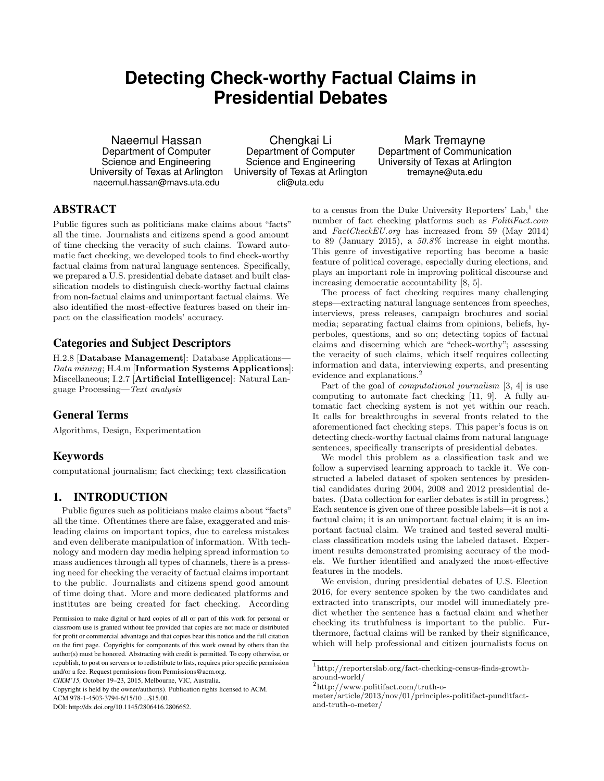# **Detecting Check-worthy Factual Claims in Presidential Debates**

Naeemul Hassan Department of Computer Science and Engineering University of Texas at Arlington naeemul.hassan@mavs.uta.edu

Chengkai Li Department of Computer Science and Engineering University of Texas at Arlington cli@uta.edu

Mark Tremayne Department of Communication University of Texas at Arlington tremayne@uta.edu

# ABSTRACT

Public figures such as politicians make claims about "facts" all the time. Journalists and citizens spend a good amount of time checking the veracity of such claims. Toward automatic fact checking, we developed tools to find check-worthy factual claims from natural language sentences. Specifically, we prepared a U.S. presidential debate dataset and built classification models to distinguish check-worthy factual claims from non-factual claims and unimportant factual claims. We also identified the most-effective features based on their impact on the classification models' accuracy.

#### Categories and Subject Descriptors

H.2.8 [**Database Management**]: Database Applications— *Data mining*; H.4.m [**Information Systems Applications**]: Miscellaneous; I.2.7 [**Artificial Intelligence**]: Natural Language Processing—*Text analysis*

#### General Terms

Algorithms, Design, Experimentation

#### Keywords

computational journalism; fact checking; text classification

## 1. INTRODUCTION

Public figures such as politicians make claims about "facts" all the time. Oftentimes there are false, exaggerated and misleading claims on important topics, due to careless mistakes and even deliberate manipulation of information. With technology and modern day media helping spread information to mass audiences through all types of channels, there is a pressing need for checking the veracity of factual claims important to the public. Journalists and citizens spend good amount of time doing that. More and more dedicated platforms and institutes are being created for fact checking. According

Copyright is held by the owner/author(s). Publication rights licensed to ACM.

ACM 978-1-4503-3794-6/15/10 ...\$15.00.

to a census from the Duke University Reporters' Lab,  $1$  the number of fact checking platforms such as *PolitiFact.com* and *FactCheckEU.org* has increased from 59 (May 2014) to 89 (January 2015), a *50.8%* increase in eight months. This genre of investigative reporting has become a basic feature of political coverage, especially during elections, and plays an important role in improving political discourse and increasing democratic accountability [8, 5].

The process of fact checking requires many challenging steps—extracting natural language sentences from speeches, interviews, press releases, campaign brochures and social media; separating factual claims from opinions, beliefs, hyperboles, questions, and so on; detecting topics of factual claims and discerning which are "check-worthy"; assessing the veracity of such claims, which itself requires collecting information and data, interviewing experts, and presenting evidence and explanations.<sup>2</sup>

Part of the goal of *computational journalism* [3, 4] is use computing to automate fact checking [11, 9]. A fully automatic fact checking system is not yet within our reach. It calls for breakthroughs in several fronts related to the aforementioned fact checking steps. This paper's focus is on detecting check-worthy factual claims from natural language sentences, specifically transcripts of presidential debates.

We model this problem as a classification task and we follow a supervised learning approach to tackle it. We constructed a labeled dataset of spoken sentences by presidential candidates during 2004, 2008 and 2012 presidential debates. (Data collection for earlier debates is still in progress.) Each sentence is given one of three possible labels—it is not a factual claim; it is an unimportant factual claim; it is an important factual claim. We trained and tested several multiclass classification models using the labeled dataset. Experiment results demonstrated promising accuracy of the models. We further identified and analyzed the most-effective features in the models.

We envision, during presidential debates of U.S. Election 2016, for every sentence spoken by the two candidates and extracted into transcripts, our model will immediately predict whether the sentence has a factual claim and whether checking its truthfulness is important to the public. Furthermore, factual claims will be ranked by their significance, which will help professional and citizen journalists focus on

Permission to make digital or hard copies of all or part of this work for personal or classroom use is granted without fee provided that copies are not made or distributed for profit or commercial advantage and that copies bear this notice and the full citation on the first page. Copyrights for components of this work owned by others than the author(s) must be honored. Abstracting with credit is permitted. To copy otherwise, or republish, to post on servers or to redistribute to lists, requires prior specific permission and/or a fee. Request permissions from Permissions@acm.org.

*CIKM'15,* October 19–23, 2015, Melbourne, VIC, Australia.

DOI: http://dx.doi.org/10.1145/2806416.2806652.

<sup>1</sup> http://reporterslab.org/fact-checking-census-finds-growtharound-world/

<sup>2</sup> http://www.politifact.com/truth-o-

meter/article/2013/nov/01/principles-politifact-punditfactand-truth-o-meter/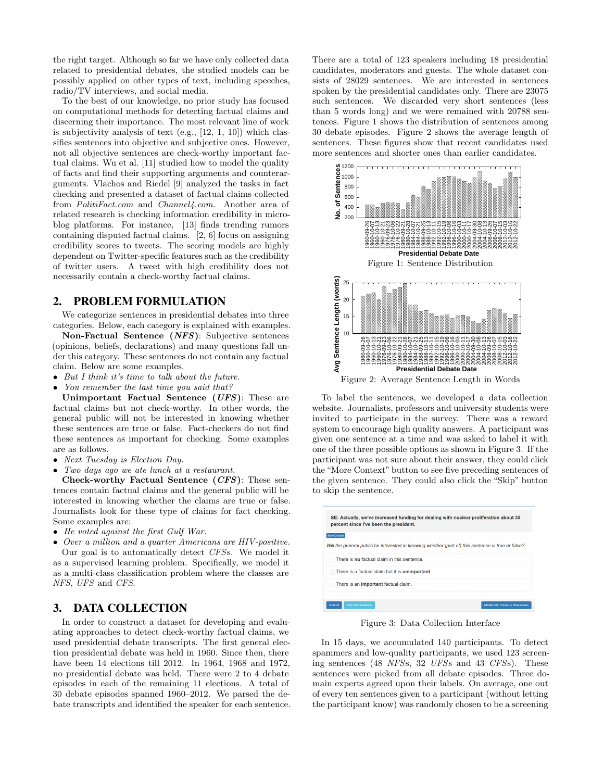the right target. Although so far we have only collected data related to presidential debates, the studied models can be possibly applied on other types of text, including speeches, radio/TV interviews, and social media.

To the best of our knowledge, no prior study has focused on computational methods for detecting factual claims and discerning their importance. The most relevant line of work is subjectivity analysis of text (e.g., [12, 1, 10]) which classifies sentences into objective and subjective ones. However, not all objective sentences are check-worthy important factual claims. Wu et al. [11] studied how to model the quality of facts and find their supporting arguments and counterarguments. Vlachos and Riedel [9] analyzed the tasks in fact checking and presented a dataset of factual claims collected from *PolitiFact.com* and *Channel4.com*. Another area of related research is checking information credibility in microblog platforms. For instance, [13] finds trending rumors containing disputed factual claims. [2, 6] focus on assigning credibility scores to tweets. The scoring models are highly dependent on Twitter-specific features such as the credibility of twitter users. A tweet with high credibility does not necessarily contain a check-worthy factual claims.

#### 2. PROBLEM FORMULATION

We categorize sentences in presidential debates into three categories. Below, each category is explained with examples.

**Non-Factual Sentence (***NFS***)**: Subjective sentences (opinions, beliefs, declarations) and many questions fall under this category. These sentences do not contain any factual claim. Below are some examples.

- *• But I think it's time to talk about the future.*
- *• You remember the last time you said that?*

**Unimportant Factual Sentence (***UFS***)**: These are factual claims but not check-worthy. In other words, the general public will not be interested in knowing whether these sentences are true or false. Fact-checkers do not find these sentences as important for checking. Some examples are as follows.

- *• Next Tuesday is Election Day.*
- *• Two days ago we ate lunch at a restaurant.*

**Check-worthy Factual Sentence (***CFS***)**: These sentences contain factual claims and the general public will be interested in knowing whether the claims are true or false. Journalists look for these type of claims for fact checking. Some examples are:

*• He voted against the first Gulf War.*

*• Over a million and a quarter Americans are HIV-positive.* Our goal is to automatically detect *CFS*s. We model it as a supervised learning problem. Specifically, we model it as a multi-class classification problem where the classes are *NFS*, *UFS* and *CFS*.

### 3. DATA COLLECTION

In order to construct a dataset for developing and evaluating approaches to detect check-worthy factual claims, we used presidential debate transcripts. The first general election presidential debate was held in 1960. Since then, there have been 14 elections till 2012. In 1964, 1968 and 1972, no presidential debate was held. There were 2 to 4 debate episodes in each of the remaining 11 elections. A total of 30 debate episodes spanned 1960–2012. We parsed the debate transcripts and identified the speaker for each sentence. There are a total of 123 speakers including 18 presidential candidates, moderators and guests. The whole dataset consists of 28029 sentences. We are interested in sentences spoken by the presidential candidates only. There are 23075 such sentences. We discarded very short sentences (less than 5 words long) and we were remained with 20788 sentences. Figure 1 shows the distribution of sentences among 30 debate episodes. Figure 2 shows the average length of sentences. These figures show that recent candidates used more sentences and shorter ones than earlier candidates.



To label the sentences, we developed a data collection website. Journalists, professors and university students were invited to participate in the survey. There was a reward system to encourage high quality answers. A participant was given one sentence at a time and was asked to label it with one of the three possible options as shown in Figure 3. If the participant was not sure about their answer, they could click the "More Context" button to see five preceding sentences of the given sentence. They could also click the "Skip" button to skip the sentence.

| More Context |                                                       |                                                                                                    |  |
|--------------|-------------------------------------------------------|----------------------------------------------------------------------------------------------------|--|
|              |                                                       | Will the general public be interested in knowing whether (part of) this sentence is true or false? |  |
|              | There is no factual claim in this sentence.           |                                                                                                    |  |
|              | There is a factual claim but it is <b>unimportant</b> |                                                                                                    |  |
|              | There is an important factual claim.                  |                                                                                                    |  |

Figure 3: Data Collection Interface

In 15 days, we accumulated 140 participants. To detect spammers and low-quality participants, we used 123 screening sentences (48 *NFS*s, 32 *UFS*s and 43 *CFS*s). These sentences were picked from all debate episodes. Three domain experts agreed upon their labels. On average, one out of every ten sentences given to a participant (without letting the participant know) was randomly chosen to be a screening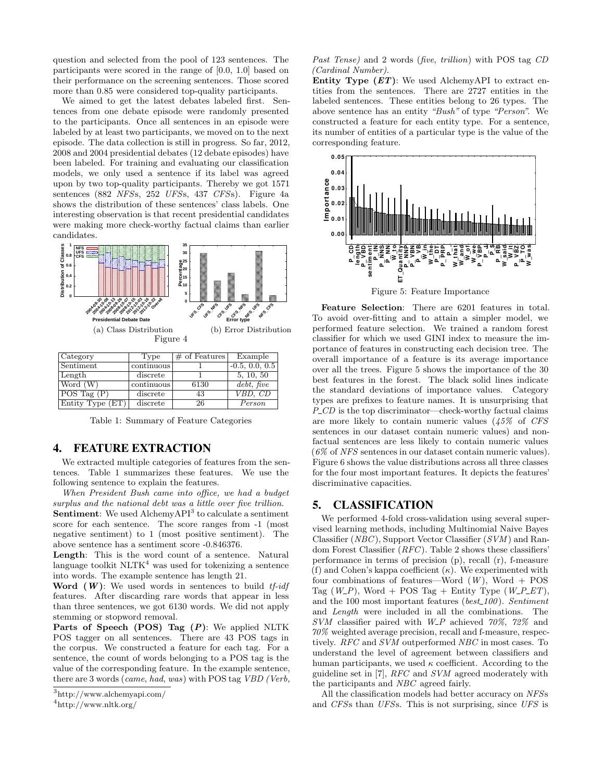question and selected from the pool of 123 sentences. The participants were scored in the range of [0.0, 1.0] based on their performance on the screening sentences. Those scored more than 0*.*85 were considered top-quality participants.

We aimed to get the latest debates labeled first. Sentences from one debate episode were randomly presented to the participants. Once all sentences in an episode were labeled by at least two participants, we moved on to the next episode. The data collection is still in progress. So far, 2012, 2008 and 2004 presidential debates (12 debate episodes) have been labeled. For training and evaluating our classification models, we only used a sentence if its label was agreed upon by two top-quality participants. Thereby we got 1571 sentences (882 *NFS*s, 252 *UFS*s, 437 *CFS*s). Figure 4a shows the distribution of these sentences' class labels. One interesting observation is that recent presidential candidates were making more check-worthy factual claims than earlier candidates.



| Category                 | Type       | $\sqrt{4}$ of Features | Example          |
|--------------------------|------------|------------------------|------------------|
| Sentiment                | continuous |                        | $-0.5, 0.0, 0.5$ |
| Length                   | discrete   |                        | 5, 10, 50        |
| Word (W)                 | continuous | 6130                   | debt, five       |
| $\overline{POS\;Tag}(P)$ | discrete   | 43                     | VBD, CD          |
| Entity Type (ET)         | discrete   | 26                     | Person           |

Table 1: Summary of Feature Categories

#### 4. FEATURE EXTRACTION

We extracted multiple categories of features from the sentences. Table 1 summarizes these features. We use the following sentence to explain the features.

*When President Bush came into office, we had a budget surplus and the national debt was a little over five trillion.* **Sentiment**: We used AlchemyAPI<sup>3</sup> to calculate a sentiment score for each sentence. The score ranges from -1 (most negative sentiment) to 1 (most positive sentiment). The above sentence has a sentiment score -0.846376.

**Length**: This is the word count of a sentence. Natural language toolkit  $NLTK<sup>4</sup>$  was used for tokenizing a sentence into words. The example sentence has length 21.

**Word (***W***)**: We used words in sentences to build *tf-idf* features. After discarding rare words that appear in less than three sentences, we got 6130 words. We did not apply stemming or stopword removal.

**Parts of Speech (POS) Tag (***P***)**: We applied NLTK POS tagger on all sentences. There are 43 POS tags in the corpus. We constructed a feature for each tag. For a sentence, the count of words belonging to a POS tag is the value of the corresponding feature. In the example sentence, there are 3 words (*came*, *had*, *was*) with POS tag *VBD (Verb,*

*Past Tense)* and 2 words (*five*, *trillion*) with POS tag *CD (Cardinal Number)*.

**Entity Type (***ET***)**: We used AlchemyAPI to extract entities from the sentences. There are 2727 entities in the labeled sentences. These entities belong to 26 types. The above sentence has an entity *"Bush"* of type *"Person"*. We constructed a feature for each entity type. For a sentence, its number of entities of a particular type is the value of the corresponding feature.



**Feature Selection**: There are 6201 features in total. To avoid over-fitting and to attain a simpler model, we performed feature selection. We trained a random forest classifier for which we used GINI index to measure the importance of features in constructing each decision tree. The overall importance of a feature is its average importance over all the trees. Figure 5 shows the importance of the 30 best features in the forest. The black solid lines indicate the standard deviations of importance values. Category types are prefixes to feature names. It is unsurprising that *P\_CD* is the top discriminator—check-worthy factual claims are more likely to contain numeric values (*45%* of *CFS* sentences in our dataset contain numeric values) and nonfactual sentences are less likely to contain numeric values (*6%* of *NFS* sentences in our dataset contain numeric values). Figure 6 shows the value distributions across all three classes for the four most important features. It depicts the features' discriminative capacities.

#### 5. CLASSIFICATION

We performed 4-fold cross-validation using several supervised learning methods, including Multinomial Naive Bayes Classifier (*NBC*), Support Vector Classifier (*SVM* ) and Random Forest Classifier (*RFC*). Table 2 shows these classifiers' performance in terms of precision (p), recall (r), f-measure (f) and Cohen's kappa coefficient (*κ*). We experimented with four combinations of features—Word  $(W)$ , Word + POS Tag  $(W_{-}P)$ , Word + POS Tag + Entity Type  $(W_{-}P_{-}ET)$ , and the 100 most important features (*best 100*). *Sentiment* and *Length* were included in all the combinations. The *SVM* classifier paired with *W P* achieved *70%*, *72%* and *70%* weighted average precision, recall and f-measure, respectively. *RFC* and *SVM* outperformed *NBC* in most cases. To understand the level of agreement between classifiers and human participants, we used  $\kappa$  coefficient. According to the guideline set in [7], *RFC* and *SVM* agreed moderately with the participants and *NBC* agreed fairly.

All the classification models had better accuracy on *NFS*s and *CFS*s than *UFS*s. This is not surprising, since *UFS* is

<sup>3</sup> http://www.alchemyapi.com/

<sup>4</sup> http://www.nltk.org/